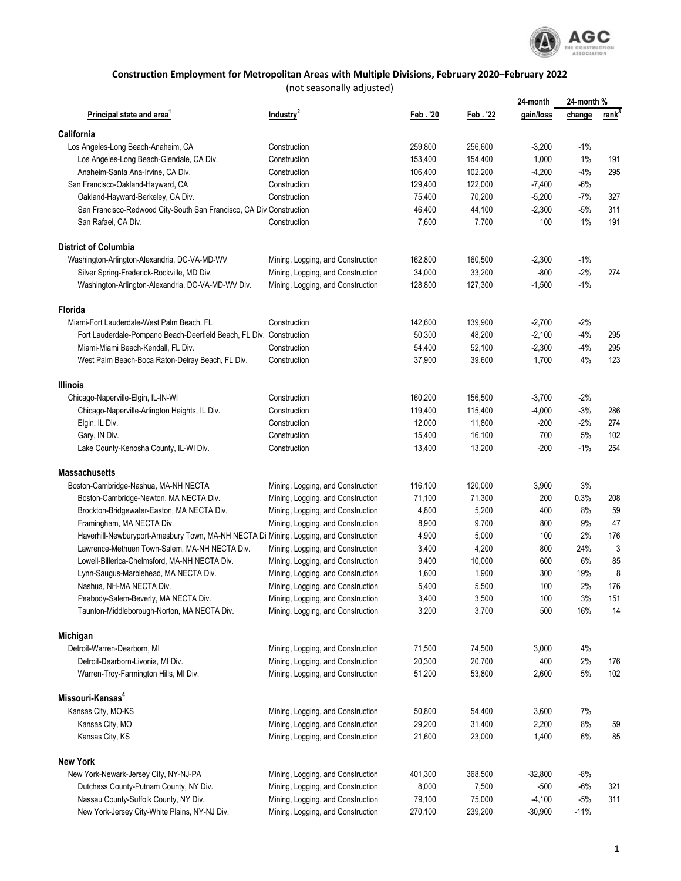

## **Construction Employment for Metropolitan Areas with Multiple Divisions, February 2020–February 2022**

(not seasonally adjusted)

| Principal state and area <sup>1</sup>                                                 | Industry <sup>2</sup>             | Feb . '20 | Feb. 22 | 24-month  | 24-month % |                   |
|---------------------------------------------------------------------------------------|-----------------------------------|-----------|---------|-----------|------------|-------------------|
|                                                                                       |                                   |           |         | gain/loss | change     | rank <sup>3</sup> |
| California                                                                            |                                   |           |         |           |            |                   |
| Los Angeles-Long Beach-Anaheim, CA                                                    | Construction                      | 259,800   | 256,600 | $-3,200$  | $-1\%$     |                   |
| Los Angeles-Long Beach-Glendale, CA Div.                                              | Construction                      | 153,400   | 154,400 | 1,000     | 1%         | 191               |
| Anaheim-Santa Ana-Irvine, CA Div.                                                     | Construction                      | 106,400   | 102,200 | $-4,200$  | $-4%$      | 295               |
| San Francisco-Oakland-Hayward, CA                                                     | Construction                      | 129,400   | 122,000 | $-7,400$  | $-6%$      |                   |
| Oakland-Hayward-Berkeley, CA Div.                                                     | Construction                      | 75,400    | 70,200  | $-5,200$  | -7%        | 327               |
| San Francisco-Redwood City-South San Francisco, CA Div Construction                   |                                   | 46,400    | 44,100  | $-2,300$  | $-5%$      | 311               |
| San Rafael, CA Div.                                                                   | Construction                      | 7,600     | 7,700   | 100       | 1%         | 191               |
| <b>District of Columbia</b>                                                           |                                   |           |         |           |            |                   |
| Washington-Arlington-Alexandria, DC-VA-MD-WV                                          | Mining, Logging, and Construction | 162,800   | 160,500 | $-2,300$  | $-1\%$     |                   |
| Silver Spring-Frederick-Rockville, MD Div.                                            | Mining, Logging, and Construction | 34,000    | 33,200  | $-800$    | $-2%$      | 274               |
| Washington-Arlington-Alexandria, DC-VA-MD-WV Div.                                     | Mining, Logging, and Construction | 128,800   | 127,300 | $-1,500$  | $-1\%$     |                   |
| Florida                                                                               |                                   |           |         |           |            |                   |
| Miami-Fort Lauderdale-West Palm Beach, FL                                             | Construction                      | 142,600   | 139,900 | $-2,700$  | -2%        |                   |
| Fort Lauderdale-Pompano Beach-Deerfield Beach, FL Div. Construction                   |                                   | 50,300    | 48,200  | $-2,100$  | -4%        | 295               |
| Miami-Miami Beach-Kendall, FL Div.                                                    | Construction                      | 54,400    | 52,100  | $-2,300$  | $-4%$      | 295               |
| West Palm Beach-Boca Raton-Delray Beach, FL Div.                                      | Construction                      | 37,900    | 39,600  | 1,700     | 4%         | 123               |
|                                                                                       |                                   |           |         |           |            |                   |
| <b>Illinois</b>                                                                       |                                   |           |         |           |            |                   |
| Chicago-Naperville-Elgin, IL-IN-WI                                                    | Construction                      | 160,200   | 156,500 | $-3,700$  | $-2%$      |                   |
| Chicago-Naperville-Arlington Heights, IL Div.                                         | Construction                      | 119,400   | 115,400 | $-4,000$  | $-3%$      | 286               |
| Elgin, IL Div.                                                                        | Construction                      | 12,000    | 11,800  | $-200$    | $-2%$      | 274               |
| Gary, IN Div.                                                                         | Construction                      | 15,400    | 16,100  | 700       | 5%         | 102               |
| Lake County-Kenosha County, IL-WI Div.                                                | Construction                      | 13,400    | 13,200  | $-200$    | $-1%$      | 254               |
| <b>Massachusetts</b>                                                                  |                                   |           |         |           |            |                   |
| Boston-Cambridge-Nashua, MA-NH NECTA                                                  | Mining, Logging, and Construction | 116,100   | 120,000 | 3,900     | 3%         |                   |
| Boston-Cambridge-Newton, MA NECTA Div.                                                | Mining, Logging, and Construction | 71,100    | 71,300  | 200       | 0.3%       | 208               |
| Brockton-Bridgewater-Easton, MA NECTA Div.                                            | Mining, Logging, and Construction | 4,800     | 5,200   | 400       | 8%         | 59                |
| Framingham, MA NECTA Div.                                                             | Mining, Logging, and Construction | 8,900     | 9,700   | 800       | 9%         | 47                |
| Haverhill-Newburyport-Amesbury Town, MA-NH NECTA Di Mining, Logging, and Construction |                                   | 4,900     | 5,000   | 100       | 2%         | 176               |
| Lawrence-Methuen Town-Salem, MA-NH NECTA Div.                                         | Mining, Logging, and Construction | 3,400     | 4,200   | 800       | 24%        | 3                 |
| Lowell-Billerica-Chelmsford, MA-NH NECTA Div.                                         | Mining, Logging, and Construction | 9,400     | 10,000  | 600       | 6%         | 85                |
| Lynn-Saugus-Marblehead, MA NECTA Div.                                                 | Mining, Logging, and Construction | 1,600     | 1,900   | 300       | 19%        | 8                 |
| Nashua, NH-MA NECTA Div.                                                              | Mining, Logging, and Construction | 5,400     | 5,500   | 100       | 2%         | 176               |
| Peabody-Salem-Beverly, MA NECTA Div.                                                  | Mining, Logging, and Construction | 3,400     | 3,500   | 100       | $3%$       | 151               |
| Taunton-Middleborough-Norton, MA NECTA Div.                                           | Mining, Logging, and Construction | 3,200     | 3,700   | 500       | 16%        | 14                |
| Michigan                                                                              |                                   |           |         |           |            |                   |
| Detroit-Warren-Dearborn, MI                                                           | Mining, Logging, and Construction | 71,500    | 74,500  | 3,000     | 4%         |                   |
| Detroit-Dearborn-Livonia, MI Div.                                                     | Mining, Logging, and Construction | 20,300    | 20,700  | 400       | 2%         | 176               |
| Warren-Troy-Farmington Hills, MI Div.                                                 | Mining, Logging, and Construction | 51,200    | 53,800  | 2,600     | $5\%$      | 102               |
| Missouri-Kansas <sup>4</sup>                                                          |                                   |           |         |           |            |                   |
| Kansas City, MO-KS                                                                    | Mining, Logging, and Construction | 50,800    | 54,400  | 3,600     | 7%         |                   |
| Kansas City, MO                                                                       | Mining, Logging, and Construction | 29,200    | 31,400  | 2,200     | 8%         | 59                |
| Kansas City, KS                                                                       | Mining, Logging, and Construction | 21,600    | 23,000  | 1,400     | $6\%$      | 85                |
| <b>New York</b>                                                                       |                                   |           |         |           |            |                   |
| New York-Newark-Jersey City, NY-NJ-PA                                                 | Mining, Logging, and Construction | 401,300   | 368,500 | $-32,800$ | $-8%$      |                   |
| Dutchess County-Putnam County, NY Div.                                                | Mining, Logging, and Construction | 8,000     | 7,500   | $-500$    | $-6%$      | 321               |
| Nassau County-Suffolk County, NY Div.                                                 | Mining, Logging, and Construction | 79,100    | 75,000  | $-4,100$  | $-5%$      | 311               |
| New York-Jersey City-White Plains, NY-NJ Div.                                         | Mining, Logging, and Construction | 270,100   | 239,200 | $-30,900$ | $-11%$     |                   |